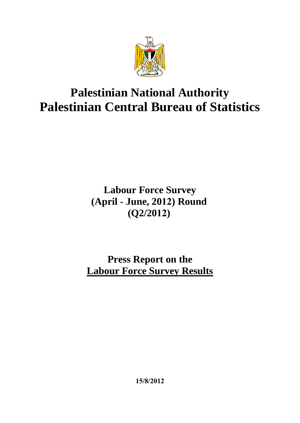

# **Palestinian National Authority Palestinian Central Bureau of Statistics**

## **Labour Force Survey (April - June, 2021) Round (Q2/2021)**

## **Press Report on the Labour Force Survey Results**

**15/8/2012**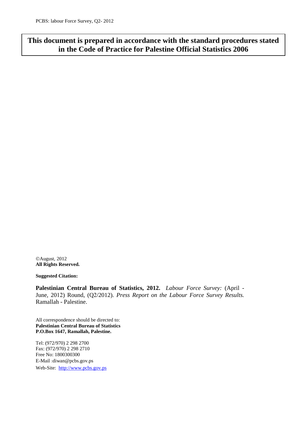## **This document is prepared in accordance with the standard procedures stated in the Code of Practice for Palestine Official Statistics 2006**

August, 2012 **All Rights Reserved.**

**Suggested Citation:**

**Palestinian Central Bureau of Statistics, 2012.** *Labour Force Survey:* (April - June, 2012) Round, (Q2/2012). *Press Report on the Labour Force Survey Results.* Ramallah - Palestine.

All correspondence should be directed to: **Palestinian Central Bureau of Statistics P.O.Box 1647, Ramallah, Palestine.**

Tel: (972/970) 2 298 2700 Fax: (972/970) 2 298 2710 Free No: 1800300300 E-Mail: diwan@pcbs.gov.ps Web-Site: [http://www.pcbs.gov.ps](http://www.pcbs.gov.ps/)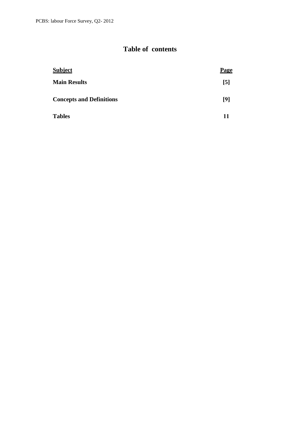## **Table of contents**

| <b>Subject</b>                  | <b>Page</b>      |
|---------------------------------|------------------|
| <b>Main Results</b>             | $\left[5\right]$ |
| <b>Concepts and Definitions</b> | [9]              |
| <b>Tables</b>                   | 11               |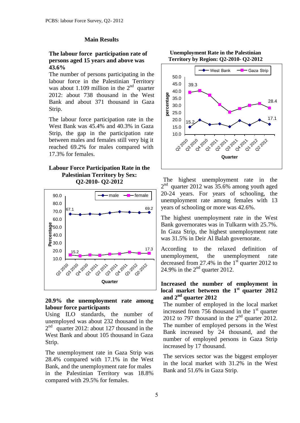#### **Main Results**

#### **The labour force participation rate of persons aged 15 years and above was 43.6%**

The number of persons participating in the labour force in the Palestinian Territory was about 1.109 million in the  $2<sup>nd</sup>$  quarter 2012: about 738 thousand in the West Bank and about 371 thousand in Gaza Strip.

The labour force participation rate in the West Bank was 45.4% and 40.3% in Gaza Strip, the gap in the participation rate between males and females still very big it reached 69.2% for males compared with 17.3% for females.

#### **Labour Force Participation Rate in the Palestinian Territory by Sex: Q2-2010- Q2-2012**



#### **20.9% the unemployment rate among labour force participants**

Using ILO standards, the number of unemployed was about 232 thousand in the 2<sup>nd</sup> quarter 2012: about 127 thousand in the West Bank and about 105 thousand in Gaza Strip.

The unemployment rate in Gaza Strip was 28.4% compared with 17.1% in the West Bank, and the unemployment rate for males in the Palestinian Territory was 18.8% compared with 29.5% for females.

**Unemployment Rate in the Palestinian Territory by Region: Q2-2010- Q2-2012**



The highest unemployment rate in the 2<sup>nd</sup> quarter 2012 was 35.6% among youth aged 20-24 years. For years of schooling, the unemployment rate among females with 13 years of schooling or more was 42.6%.

The highest unemployment rate in the West Bank governorates was in Tulkarm with 25.7%. In Gaza Strip, the highest unemployment rate was 31.5% in Deir Al Balah governorate.

According to the relaxed definition of unemployment, the unemployment rate decreased from 27.4% in the  $1<sup>st</sup>$  quarter 2012 to 24.9% in the  $2<sup>nd</sup>$  quarter 2012.

#### **Increased the number of employment in local market between the 1 st quarter 2012 and 2 nd quarter 2012**

The number of employed in the local market increased from  $756$  thousand in the 1<sup>st</sup> quarter 2012 to 797 thousand in the  $2<sup>nd</sup>$  quarter 2012. The number of employed persons in the West Bank increased by 24 thousand, and the number of employed persons in Gaza Strip increased by 17 thousand.

The services sector was the biggest employer in the local market with 31.2% in the West Bank and 51.6% in Gaza Strip.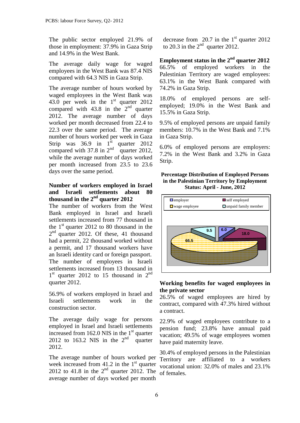The public sector employed 21.9% of those in employment: 37.9% in Gaza Strip and 14.9% in the West Bank.

The average daily wage for waged employees in the West Bank was 87.4 NIS compared with 64.3 NIS in Gaza Strip.

The average number of hours worked by waged employees in the West Bank was 43.0 per week in the  $1<sup>st</sup>$  quarter 2012 compared with  $43.8$  in the  $2<sup>nd</sup>$  quarter 2012. The average number of days worked per month decreased from 22.4 to 22.3 over the same period. The average number of hours worked per week in Gaza Strip was  $36.9$  in  $1^{st}$  quarter  $2012$ compared with 37.8 in  $2<sup>nd</sup>$  quarter 2012, while the average number of days worked per month increased from 23.5 to 23.6 days over the same period.

#### **Number of workers employed in Israel and Israeli settlements about 80 thousand in the 2 nd quarter 2012**

The number of workers from the West Bank employed in Israel and Israeli settlements increased from 77 thousand in the  $1<sup>st</sup>$  quarter 2012 to 80 thousand in the 2<sup>nd</sup> quarter 2012. Of these, 41 thousand had a permit, 22 thousand worked without a permit, and 17 thousand workers have an Israeli identity card or foreign passport. The number of employees in Israeli settlements increased from 13 thousand in 1<sup>st</sup> quarter 2012 to 15 thousand in 2<sup>nd</sup> quarter 2012.

56.9% of workers employed in Israel and Israeli settlements work in the construction sector.

The average daily wage for persons employed in Israel and Israeli settlements increased from  $162.0$  NIS in the  $1<sup>st</sup>$  quarter 2012 to 163.2 NIS in the  $2<sup>nd</sup>$  quarter 2012.

The average number of hours worked per week increased from  $41.2$  in the  $1<sup>st</sup>$  quarter 2012 to 41.8 in the  $2<sup>nd</sup>$  quarter 2012. The average number of days worked per month

decrease from 20.7 in the  $1<sup>st</sup>$  quarter 2012 to 20.3 in the  $2<sup>nd</sup>$  quarter 2012.

Employment status in the 2<sup>nd</sup> quarter 2012 66.5% of employed workers in the Palestinian Territory are waged employees: 63.1% in the West Bank compared with 74.2% in Gaza Strip.

18.0% of employed persons are selfemployed; 19.0% in the West Bank and 15.5% in Gaza Strip.

9.5% of employed persons are unpaid family members: 10.7% in the West Bank and 7.1% in Gaza Strip.

6.0% of employed persons are employers: 7.2% in the West Bank and 3.2% in Gaza Strip.

#### **Percentage Distribution of Employed Persons in the Palestinian Territory by Employment Status: April - June, 2012**



#### **Working benefits for waged employees in the private sector**

26.5% of waged employees are hired by contract, compared with 47.3% hired without a contract.

22.9% of waged employees contribute to a pension fund; 23.8% have annual paid vacation; 49.5% of wage employees women have paid maternity leave.

30.4% of employed persons in the Palestinian Territory are affiliated to a workers vocational union: 32.0% of males and 23.1% of females.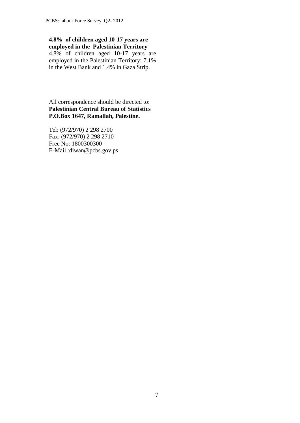### **4.8% of children aged 10-17 years are employed in the Palestinian Territory**

4.8% of children aged 10-17 years are employed in the Palestinian Territory: 7.1% in the West Bank and 1.4% in Gaza Strip.

All correspondence should be directed to: **Palestinian Central Bureau of Statistics P.O.Box 1647, Ramallah, Palestine.**

Tel: (972/970) 2 298 2700 Fax: (972/970) 2 298 2710 Free No: 1800300300 E-Mail :diwan@pcbs.gov.ps